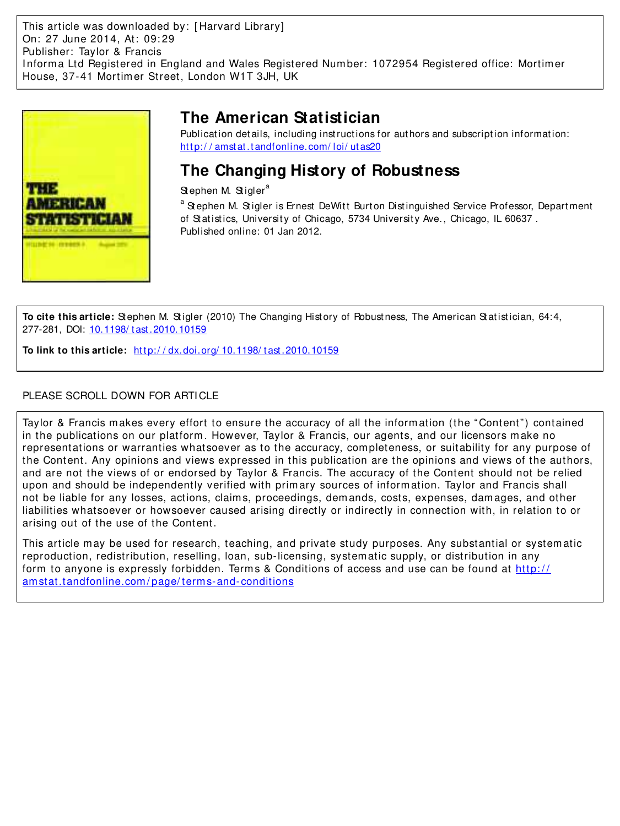

# **The American Statistician**

Publication details, including instructions for authors and subscription information: http://amstat.tandfonline.com/loi/utas20

# **The Changing History of Robustness**

Stephen M. Stigler<sup>a</sup>

<sup>a</sup> Stephen M. Stigler is Ernest DeWitt Burton Distinguished Service Professor, Department of Statistics, University of Chicago, 5734 University Ave., Chicago, IL 60637. Published online: 01 Jan 2012.

**To cite this article:** Stephen M. Stigler (2010) The Changing History of Robustness, The American Statistician, 64:4, 277-281, DOI: 10.1198/ t ast .2010.10159

**To link to this article:** http://dx.doi.org/10.1198/tast.2010.10159

## PLEASE SCROLL DOWN FOR ARTICLE

Taylor & Francis m akes every effort to ensure the accuracy of all the inform ation (the "Content") contained in the publications on our platform. However, Taylor & Francis, our agents, and our licensors make no representations or warranties whatsoever as to the accuracy, com pleteness, or suitability for any purpose of the Content. Any opinions and views expressed in this publication are the opinions and views of the authors, and are not the views of or endorsed by Taylor & Francis. The accuracy of the Content should not be relied upon and should be independently verified with prim ary sources of inform ation. Taylor and Francis shall not be liable for any losses, actions, claims, proceedings, demands, costs, expenses, damages, and other liabilities whatsoever or howsoever caused arising directly or indirectly in connection with, in relation to or arising out of the use of the Content.

This article m ay be used for research, teaching, and private study purposes. Any substantial or system atic reproduction, redistribution, reselling, loan, sub-licensing, system atic supply, or distribution in any form to anyone is expressly forbidden. Terms & Conditions of access and use can be found at http:// am stat.tandfonline.com / page/ term s-and-conditions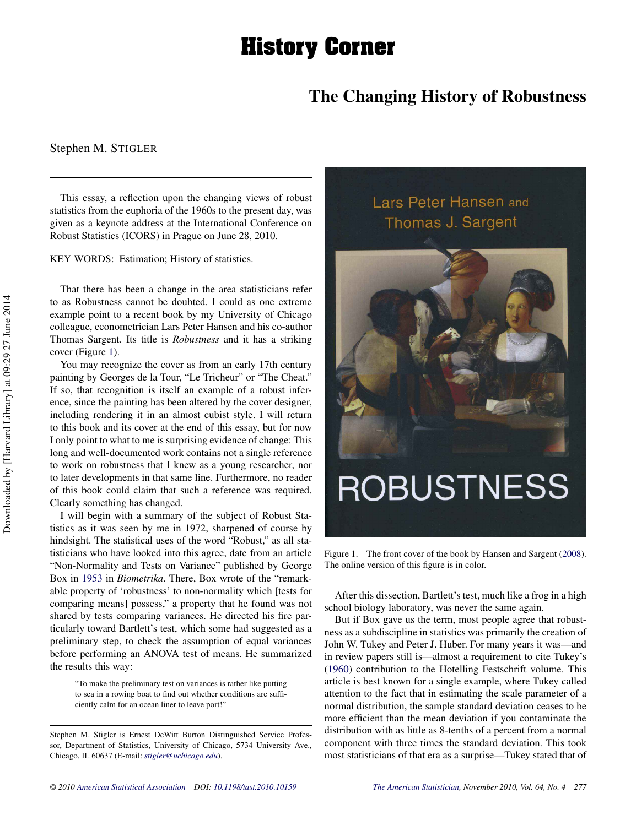## **The Changing History of Robustness**

### Stephen M. STIGLER

This essay, a reflection upon the changing views of robust statistics from the euphoria of the 1960s to the present day, was given as a keynote address at the International Conference on Robust Statistics (ICORS) in Prague on June 28, 2010.

KEY WORDS: Estimation; History of statistics.

That there has been a change in the area statisticians refer to as Robustness cannot be doubted. I could as one extreme example point to a recent book by my University of Chicago colleague, econometrician Lars Peter Hansen and his co-author Thomas Sargent. Its title is *Robustness* and it has a striking cover (Figure 1).

You may recognize the cover as from an early 17th century painting by Georges de la Tour, "Le Tricheur" or "The Cheat." If so, that recognition is itself an example of a robust inference, since the painting has been altered by the cover designer, including rendering it in an almost cubist style. I will return to this book and its cover at the end of this essay, but for now I only point to what to me is surprising evidence of change: This long and well-documented work contains not a single reference to work on robustness that I knew as a young researcher, nor to later developments in that same line. Furthermore, no reader of this book could claim that such a reference was required. Clearly something has changed.

I will begin with a summary of the subject of Robust Statistics as it was seen by me in 1972, sharpened of course by hindsight. The statistical uses of the word "Robust," as all statisticians who have looked into this agree, date from an article "Non-Normality and Tests on Variance" published by George Box in 1953 in *Biometrika*. There, Box wrote of the "remarkable property of 'robustness' to non-normality which [tests for comparing means] possess," a property that he found was not shared by tests comparing variances. He directed his fire particularly toward Bartlett's test, which some had suggested as a preliminary step, to check the assumption of equal variances before performing an ANOVA test of means. He summarized the results this way:

"To make the preliminary test on variances is rather like putting to sea in a rowing boat to find out whether conditions are sufficiently calm for an ocean liner to leave port!"

# **Lars Peter Hansen and** Thomas J. Sargent



Figure 1. The front cover of the book by Hansen and Sargent (2008). The online version of this figure is in color.

After this dissection, Bartlett's test, much like a frog in a high school biology laboratory, was never the same again.

But if Box gave us the term, most people agree that robustness as a subdiscipline in statistics was primarily the creation of John W. Tukey and Peter J. Huber. For many years it was—and in review papers still is—almost a requirement to cite Tukey's (1960) contribution to the Hotelling Festschrift volume. This article is best known for a single example, where Tukey called attention to the fact that in estimating the scale parameter of a normal distribution, the sample standard deviation ceases to be more efficient than the mean deviation if you contaminate the distribution with as little as 8-tenths of a percent from a normal component with three times the standard deviation. This took most statisticians of that era as a surprise—Tukey stated that of

Stephen M. Stigler is Ernest DeWitt Burton Distinguished Service Professor, Department of Statistics, University of Chicago, 5734 University Ave., Chicago, IL 60637 (E-mail: *stigler@uchicago.edu*).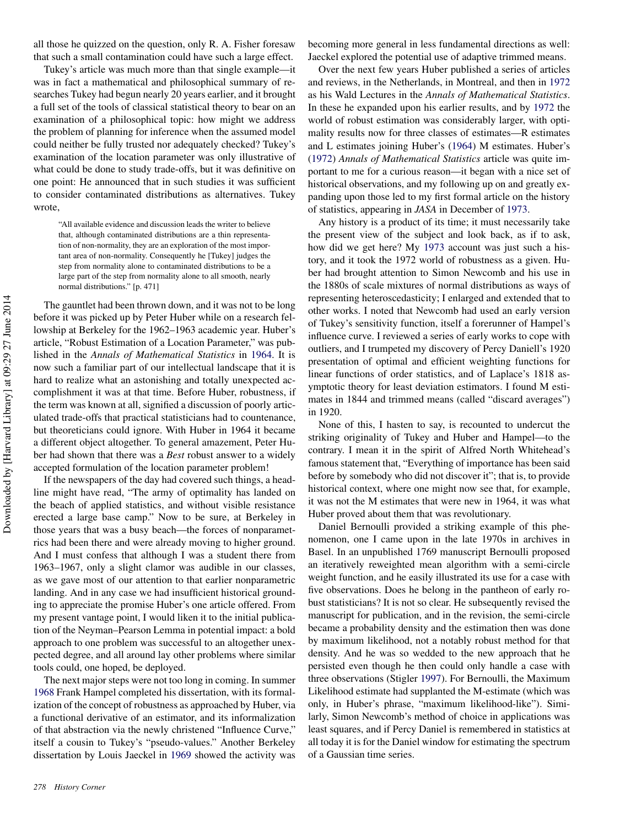all those he quizzed on the question, only R. A. Fisher foresaw that such a small contamination could have such a large effect.

Tukey's article was much more than that single example—it was in fact a mathematical and philosophical summary of researches Tukey had begun nearly 20 years earlier, and it brought a full set of the tools of classical statistical theory to bear on an examination of a philosophical topic: how might we address the problem of planning for inference when the assumed model could neither be fully trusted nor adequately checked? Tukey's examination of the location parameter was only illustrative of what could be done to study trade-offs, but it was definitive on one point: He announced that in such studies it was sufficient to consider contaminated distributions as alternatives. Tukey wrote,

"All available evidence and discussion leads the writer to believe that, although contaminated distributions are a thin representation of non-normality, they are an exploration of the most important area of non-normality. Consequently he [Tukey] judges the step from normality alone to contaminated distributions to be a large part of the step from normality alone to all smooth, nearly normal distributions." [p. 471]

The gauntlet had been thrown down, and it was not to be long before it was picked up by Peter Huber while on a research fellowship at Berkeley for the 1962–1963 academic year. Huber's article, "Robust Estimation of a Location Parameter," was published in the *Annals of Mathematical Statistics* in 1964. It is now such a familiar part of our intellectual landscape that it is hard to realize what an astonishing and totally unexpected accomplishment it was at that time. Before Huber, robustness, if the term was known at all, signified a discussion of poorly articulated trade-offs that practical statisticians had to countenance, but theoreticians could ignore. With Huber in 1964 it became a different object altogether. To general amazement, Peter Huber had shown that there was a *Best* robust answer to a widely accepted formulation of the location parameter problem!

If the newspapers of the day had covered such things, a headline might have read, "The army of optimality has landed on the beach of applied statistics, and without visible resistance erected a large base camp." Now to be sure, at Berkeley in those years that was a busy beach—the forces of nonparametrics had been there and were already moving to higher ground. And I must confess that although I was a student there from 1963–1967, only a slight clamor was audible in our classes, as we gave most of our attention to that earlier nonparametric landing. And in any case we had insufficient historical grounding to appreciate the promise Huber's one article offered. From my present vantage point, I would liken it to the initial publication of the Neyman–Pearson Lemma in potential impact: a bold approach to one problem was successful to an altogether unexpected degree, and all around lay other problems where similar tools could, one hoped, be deployed.

The next major steps were not too long in coming. In summer 1968 Frank Hampel completed his dissertation, with its formalization of the concept of robustness as approached by Huber, via a functional derivative of an estimator, and its informalization of that abstraction via the newly christened "Influence Curve," itself a cousin to Tukey's "pseudo-values." Another Berkeley dissertation by Louis Jaeckel in 1969 showed the activity was becoming more general in less fundamental directions as well: Jaeckel explored the potential use of adaptive trimmed means.

Over the next few years Huber published a series of articles and reviews, in the Netherlands, in Montreal, and then in 1972 as his Wald Lectures in the *Annals of Mathematical Statistics*. In these he expanded upon his earlier results, and by 1972 the world of robust estimation was considerably larger, with optimality results now for three classes of estimates—R estimates and L estimates joining Huber's (1964) M estimates. Huber's (1972) *Annals of Mathematical Statistics* article was quite important to me for a curious reason—it began with a nice set of historical observations, and my following up on and greatly expanding upon those led to my first formal article on the history of statistics, appearing in *JASA* in December of 1973.

Any history is a product of its time; it must necessarily take the present view of the subject and look back, as if to ask, how did we get here? My 1973 account was just such a history, and it took the 1972 world of robustness as a given. Huber had brought attention to Simon Newcomb and his use in the 1880s of scale mixtures of normal distributions as ways of representing heteroscedasticity; I enlarged and extended that to other works. I noted that Newcomb had used an early version of Tukey's sensitivity function, itself a forerunner of Hampel's influence curve. I reviewed a series of early works to cope with outliers, and I trumpeted my discovery of Percy Daniell's 1920 presentation of optimal and efficient weighting functions for linear functions of order statistics, and of Laplace's 1818 asymptotic theory for least deviation estimators. I found M estimates in 1844 and trimmed means (called "discard averages") in 1920.

None of this, I hasten to say, is recounted to undercut the striking originality of Tukey and Huber and Hampel—to the contrary. I mean it in the spirit of Alfred North Whitehead's famous statement that, "Everything of importance has been said before by somebody who did not discover it"; that is, to provide historical context, where one might now see that, for example, it was not the M estimates that were new in 1964, it was what Huber proved about them that was revolutionary.

Daniel Bernoulli provided a striking example of this phenomenon, one I came upon in the late 1970s in archives in Basel. In an unpublished 1769 manuscript Bernoulli proposed an iteratively reweighted mean algorithm with a semi-circle weight function, and he easily illustrated its use for a case with five observations. Does he belong in the pantheon of early robust statisticians? It is not so clear. He subsequently revised the manuscript for publication, and in the revision, the semi-circle became a probability density and the estimation then was done by maximum likelihood, not a notably robust method for that density. And he was so wedded to the new approach that he persisted even though he then could only handle a case with three observations (Stigler 1997). For Bernoulli, the Maximum Likelihood estimate had supplanted the M-estimate (which was only, in Huber's phrase, "maximum likelihood-like"). Similarly, Simon Newcomb's method of choice in applications was least squares, and if Percy Daniel is remembered in statistics at all today it is for the Daniel window for estimating the spectrum of a Gaussian time series.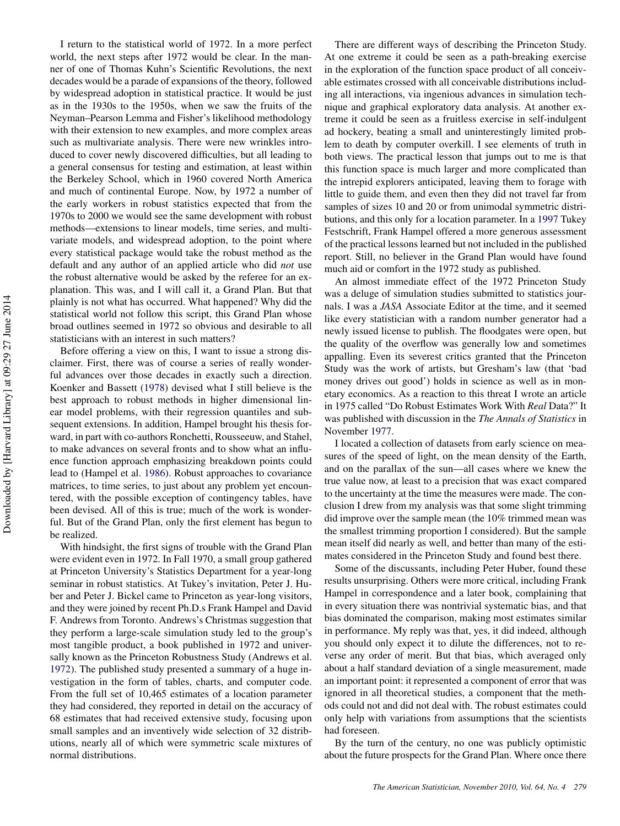I return to the statistical world of 1972. In a more perfect world, the next steps after 1972 would be clear. In the manner of one of Thomas Kuhn's Scientific Revolutions, the next decades would be a parade of expansions of the theory, followed by widespread adoption in statistical practice. It would be just as in the 1930s to the 1950s, when we saw the fruits of the Neyman–Pearson Lemma and Fisher's likelihood methodology with their extension to new examples, and more complex areas such as multivariate analysis. There were new wrinkles introduced to cover newly discovered difficulties, but all leading to a general consensus for testing and estimation, at least within the Berkeley School, which in 1960 covered North America and much of continental Europe. Now, by 1972 a number of the early workers in robust statistics expected that from the 1970s to 2000 we would see the same development with robust methods—extensions to linear models, time series, and multivariate models, and widespread adoption, to the point where every statistical package would take the robust method as the default and any author of an applied article who did *not* use the robust alternative would be asked by the referee for an explanation. This was, and I will call it, a Grand Plan. But that plainly is not what has occurred. What happened? Why did the statistical world not follow this script, this Grand Plan whose broad outlines seemed in 1972 so obvious and desirable to all statisticians with an interest in such matters?

Before offering a view on this, I want to issue a strong disclaimer. First, there was of course a series of really wonderful advances over those decades in exactly such a direction. Koenker and Bassett (1978) devised what I still believe is the best approach to robust methods in higher dimensional linear model problems, with their regression quantiles and subsequent extensions. In addition, Hampel brought his thesis forward, in part with co-authors Ronchetti, Rousseeuw, and Stahel, to make advances on several fronts and to show what an influence function approach emphasizing breakdown points could lead to (Hampel et al. 1986). Robust approaches to covariance matrices, to time series, to just about any problem yet encountered, with the possible exception of contingency tables, have been devised. All of this is true; much of the work is wonderful. But of the Grand Plan, only the first element has begun to be realized.

With hindsight, the first signs of trouble with the Grand Plan were evident even in 1972. In Fall 1970, a small group gathered at Princeton University's Statistics Department for a year-long seminar in robust statistics. At Tukey's invitation, Peter J. Huber and Peter J. Bickel came to Princeton as year-long visitors, and they were joined by recent Ph.D.s Frank Hampel and David F. Andrews from Toronto. Andrews's Christmas suggestion that they perform a large-scale simulation study led to the group's most tangible product, a book published in 1972 and universally known as the Princeton Robustness Study (Andrews et al. 1972). The published study presented a summary of a huge investigation in the form of tables, charts, and computer code. From the full set of 10,465 estimates of a location parameter they had considered, they reported in detail on the accuracy of 68 estimates that had received extensive study, focusing upon small samples and an inventively wide selection of 32 distributions, nearly all of which were symmetric scale mixtures of normal distributions.

There are different ways of describing the Princeton Study. At one extreme it could be seen as a path-breaking exercise in the exploration of the function space product of all conceivable estimates crossed with all conceivable distributions including all interactions, via ingenious advances in simulation technique and graphical exploratory data analysis. At another extreme it could be seen as a fruitless exercise in self-indulgent ad hockery, beating a small and uninterestingly limited problem to death by computer overkill. I see elements of truth in both views. The practical lesson that jumps out to me is that this function space is much larger and more complicated than the intrepid explorers anticipated, leaving them to forage with little to guide them, and even then they did not travel far from samples of sizes 10 and 20 or from unimodal symmetric distributions, and this only for a location parameter. In a 1997 Tukey Festschrift, Frank Hampel offered a more generous assessment of the practical lessons learned but not included in the published report. Still, no believer in the Grand Plan would have found much aid or comfort in the 1972 study as published.

An almost immediate effect of the 1972 Princeton Study was a deluge of simulation studies submitted to statistics journals. I was a *JASA* Associate Editor at the time, and it seemed like every statistician with a random number generator had a newly issued license to publish. The floodgates were open, but the quality of the overflow was generally low and sometimes appalling. Even its severest critics granted that the Princeton Study was the work of artists, but Gresham's law (that 'bad money drives out good') holds in science as well as in monetary economics. As a reaction to this threat I wrote an article in 1975 called "Do Robust Estimates Work With *Real* Data?" It was published with discussion in the *The Annals of Statistics* in November 1977.

I located a collection of datasets from early science on measures of the speed of light, on the mean density of the Earth, and on the parallax of the sun—all cases where we knew the true value now, at least to a precision that was exact compared to the uncertainty at the time the measures were made. The conclusion I drew from my analysis was that some slight trimming did improve over the sample mean (the 10% trimmed mean was the smallest trimming proportion I considered). But the sample mean itself did nearly as well, and better than many of the estimates considered in the Princeton Study and found best there.

Some of the discussants, including Peter Huber, found these results unsurprising. Others were more critical, including Frank Hampel in correspondence and a later book, complaining that in every situation there was nontrivial systematic bias, and that bias dominated the comparison, making most estimates similar in performance. My reply was that, yes, it did indeed, although you should only expect it to dilute the differences, not to reverse any order of merit. But that bias, which averaged only about a half standard deviation of a single measurement, made an important point: it represented a component of error that was ignored in all theoretical studies, a component that the methods could not and did not deal with. The robust estimates could only help with variations from assumptions that the scientists had foreseen.

By the turn of the century, no one was publicly optimistic about the future prospects for the Grand Plan. Where once there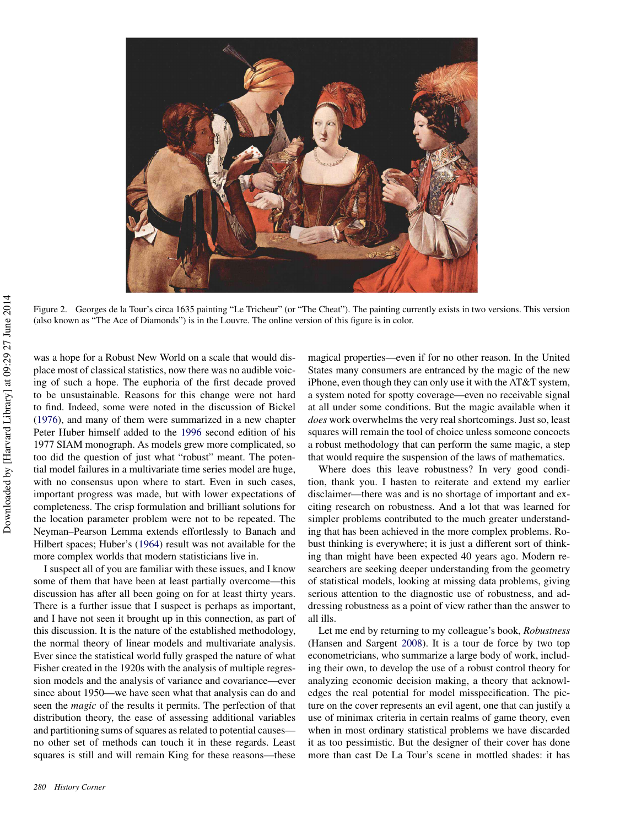

Figure 2. Georges de la Tour's circa 1635 painting "Le Tricheur" (or "The Cheat"). The painting currently exists in two versions. This version (also known as "The Ace of Diamonds") is in the Louvre. The online version of this figure is in color.

was a hope for a Robust New World on a scale that would displace most of classical statistics, now there was no audible voicing of such a hope. The euphoria of the first decade proved to be unsustainable. Reasons for this change were not hard to find. Indeed, some were noted in the discussion of Bickel (1976), and many of them were summarized in a new chapter Peter Huber himself added to the 1996 second edition of his 1977 SIAM monograph. As models grew more complicated, so too did the question of just what "robust" meant. The potential model failures in a multivariate time series model are huge, with no consensus upon where to start. Even in such cases, important progress was made, but with lower expectations of completeness. The crisp formulation and brilliant solutions for the location parameter problem were not to be repeated. The Neyman–Pearson Lemma extends effortlessly to Banach and Hilbert spaces; Huber's (1964) result was not available for the more complex worlds that modern statisticians live in.

I suspect all of you are familiar with these issues, and I know some of them that have been at least partially overcome—this discussion has after all been going on for at least thirty years. There is a further issue that I suspect is perhaps as important, and I have not seen it brought up in this connection, as part of this discussion. It is the nature of the established methodology, the normal theory of linear models and multivariate analysis. Ever since the statistical world fully grasped the nature of what Fisher created in the 1920s with the analysis of multiple regression models and the analysis of variance and covariance—ever since about 1950—we have seen what that analysis can do and seen the *magic* of the results it permits. The perfection of that distribution theory, the ease of assessing additional variables and partitioning sums of squares as related to potential causes no other set of methods can touch it in these regards. Least squares is still and will remain King for these reasons—these magical properties—even if for no other reason. In the United States many consumers are entranced by the magic of the new iPhone, even though they can only use it with the AT&T system, a system noted for spotty coverage—even no receivable signal at all under some conditions. But the magic available when it *does* work overwhelms the very real shortcomings. Just so, least squares will remain the tool of choice unless someone concocts a robust methodology that can perform the same magic, a step that would require the suspension of the laws of mathematics.

Where does this leave robustness? In very good condition, thank you. I hasten to reiterate and extend my earlier disclaimer—there was and is no shortage of important and exciting research on robustness. And a lot that was learned for simpler problems contributed to the much greater understanding that has been achieved in the more complex problems. Robust thinking is everywhere; it is just a different sort of thinking than might have been expected 40 years ago. Modern researchers are seeking deeper understanding from the geometry of statistical models, looking at missing data problems, giving serious attention to the diagnostic use of robustness, and addressing robustness as a point of view rather than the answer to all ills.

Let me end by returning to my colleague's book, *Robustness* (Hansen and Sargent 2008). It is a tour de force by two top econometricians, who summarize a large body of work, including their own, to develop the use of a robust control theory for analyzing economic decision making, a theory that acknowledges the real potential for model misspecification. The picture on the cover represents an evil agent, one that can justify a use of minimax criteria in certain realms of game theory, even when in most ordinary statistical problems we have discarded it as too pessimistic. But the designer of their cover has done more than cast De La Tour's scene in mottled shades: it has